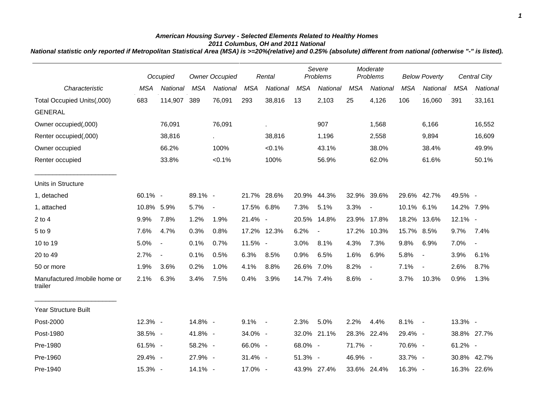## *American Housing Survey - Selected Elements Related to Healthy Homes 2011 Columbus, OH and 2011 National*

*National statistic only reported if Metropolitan Statistical Area (MSA) is >=20%(relative) and 0.25% (absolute) different from national (otherwise "-" is listed).*

|                                         |            | Occupied       | <b>Owner Occupied</b> |                             | Rental     |             | Severe<br>Problems |                | Moderate<br>Problems |                          | <b>Below Poverty</b> |                          | Central City |                          |
|-----------------------------------------|------------|----------------|-----------------------|-----------------------------|------------|-------------|--------------------|----------------|----------------------|--------------------------|----------------------|--------------------------|--------------|--------------------------|
| Characteristic                          | <b>MSA</b> | National       | <b>MSA</b>            | National                    | <b>MSA</b> | National    | <b>MSA</b>         | National       | <b>MSA</b>           | National                 | <b>MSA</b>           | National                 | <b>MSA</b>   | National                 |
| Total Occupied Units(,000)              | 683        | 114,907        | 389                   | 76,091                      | 293        | 38,816      | 13                 | 2,103          | 25                   | 4,126                    | 106                  | 16,060                   | 391          | 33,161                   |
| <b>GENERAL</b>                          |            |                |                       |                             |            |             |                    |                |                      |                          |                      |                          |              |                          |
| Owner occupied(,000)                    |            | 76,091         |                       | 76,091                      |            |             |                    | 907            |                      | 1,568                    |                      | 6,166                    |              | 16,552                   |
| Renter occupied(,000)                   |            | 38,816         |                       | $\mathcal{L}_{\mathcal{A}}$ |            | 38,816      |                    | 1,196          |                      | 2,558                    |                      | 9,894                    |              | 16,609                   |
| Owner occupied                          |            | 66.2%          |                       | 100%                        |            | $< 0.1\%$   |                    | 43.1%          |                      | 38.0%                    |                      | 38.4%                    |              | 49.9%                    |
| Renter occupied                         |            | 33.8%          |                       | $< 0.1\%$                   |            | 100%        |                    | 56.9%          |                      | 62.0%                    |                      | 61.6%                    |              | 50.1%                    |
| Units in Structure                      |            |                |                       |                             |            |             |                    |                |                      |                          |                      |                          |              |                          |
| 1, detached                             | 60.1% -    |                | 89.1% -               |                             |            | 21.7% 28.6% | 20.9%              | 44.3%          |                      | 32.9% 39.6%              |                      | 29.6% 42.7%              | 49.5% -      |                          |
| 1, attached                             | 10.8% 5.9% |                | 5.7%                  | $\overline{\phantom{a}}$    | 17.5% 6.8% |             | 7.3%               | 5.1%           | 3.3%                 | $\overline{a}$           | 10.1% 6.1%           |                          | 14.2% 7.9%   |                          |
| $2$ to $4$                              | 9.9%       | 7.8%           | 1.2%                  | 1.9%                        | 21.4% -    |             | 20.5%              | 14.8%          |                      | 23.9% 17.8%              | 18.2%                | 13.6%                    | 12.1% -      |                          |
| 5 to 9                                  | 7.6%       | 4.7%           | 0.3%                  | 0.8%                        |            | 17.2% 12.3% | 6.2%               | $\blacksquare$ |                      | 17.2% 10.3%              | 15.7% 8.5%           |                          | 9.7%         | 7.4%                     |
| 10 to 19                                | 5.0%       | $\blacksquare$ | 0.1%                  | 0.7%                        | 11.5% -    |             | 3.0%               | 8.1%           | 4.3%                 | 7.3%                     | 9.8%                 | 6.9%                     | 7.0%         | $\overline{\phantom{a}}$ |
| 20 to 49                                | 2.7%       | $\blacksquare$ | 0.1%                  | 0.5%                        | 6.3%       | 8.5%        | 0.9%               | 6.5%           | 1.6%                 | 6.9%                     | 5.8%                 | $\blacksquare$           | 3.9%         | 6.1%                     |
| 50 or more                              | 1.9%       | 3.6%           | 0.2%                  | 1.0%                        | 4.1%       | 8.8%        | 26.6% 7.0%         |                | 8.2%                 | $\blacksquare$           | 7.1%                 | $\overline{\phantom{a}}$ | 2.6%         | 8.7%                     |
| Manufactured /mobile home or<br>trailer | 2.1%       | 6.3%           | 3.4%                  | 7.5%                        | 0.4%       | 3.9%        | 14.7% 7.4%         |                | 8.6%                 | $\overline{\phantom{a}}$ | 3.7%                 | 10.3%                    | 0.9%         | 1.3%                     |
| Year Structure Built                    |            |                |                       |                             |            |             |                    |                |                      |                          |                      |                          |              |                          |
| Post-2000                               | 12.3% -    |                | 14.8% -               |                             | $9.1\% -$  |             | 2.3%               | 5.0%           | 2.2%                 | 4.4%                     | $8.1\% -$            |                          | 13.3% -      |                          |
| Post-1980                               | 38.5% -    |                | 41.8% -               |                             | 34.0% -    |             |                    | 32.0% 21.1%    |                      | 28.3% 22.4%              | 29.4% -              |                          |              | 38.8% 27.7%              |
| Pre-1980                                | 61.5% -    |                | 58.2% -               |                             | 66.0% -    |             | 68.0% -            |                | 71.7% -              |                          | 70.6% -              |                          | 61.2% -      |                          |
| Pre-1960                                | 29.4% -    |                | 27.9% -               |                             | 31.4% -    |             | 51.3% -            |                | 46.9% -              |                          | 33.7% -              |                          |              | 30.8% 42.7%              |
| Pre-1940                                | 15.3% -    |                | 14.1% -               |                             | 17.0% -    |             |                    | 43.9% 27.4%    |                      | 33.6% 24.4%              | 16.3% -              |                          |              | 16.3% 22.6%              |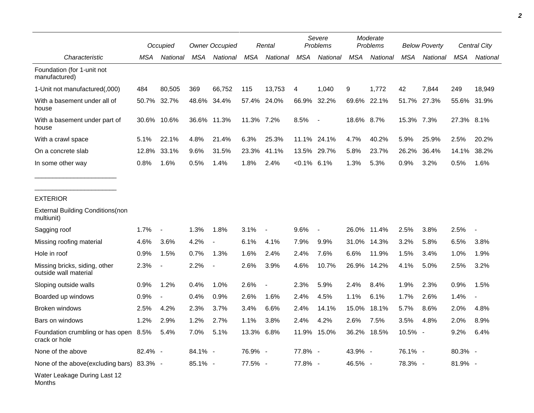|                                                        | Occupied |                          | <b>Owner Occupied</b> |             | Rental     |                          | Severe<br>Problems |                          | Moderate<br>Problems |          | <b>Below Poverty</b> |          | Central City |                |
|--------------------------------------------------------|----------|--------------------------|-----------------------|-------------|------------|--------------------------|--------------------|--------------------------|----------------------|----------|----------------------|----------|--------------|----------------|
| Characteristic                                         | MSA      | National                 | MSA                   | National    | MSA        | National                 | MSA                | National                 | MSA                  | National | <b>MSA</b>           | National | MSA          | National       |
| Foundation (for 1-unit not<br>manufactured)            |          |                          |                       |             |            |                          |                    |                          |                      |          |                      |          |              |                |
| 1-Unit not manufactured(,000)                          | 484      | 80,505                   | 369                   | 66,752      | 115        | 13,753                   | 4                  | 1,040                    | 9                    | 1,772    | 42                   | 7,844    | 249          | 18,949         |
| With a basement under all of<br>house                  | 50.7%    | 32.7%                    | 48.6%                 | 34.4%       | 57.4%      | 24.0%                    | 66.9%              | 32.2%                    | 69.6%                | 22.1%    | 51.7%                | 27.3%    | 55.6%        | 31.9%          |
| With a basement under part of<br>house                 | 30.6%    | 10.6%                    |                       | 36.6% 11.3% | 11.3% 7.2% |                          | 8.5%               | $\overline{\phantom{a}}$ | 18.6% 8.7%           |          | 15.3% 7.3%           |          | 27.3% 8.1%   |                |
| With a crawl space                                     | 5.1%     | 22.1%                    | 4.8%                  | 21.4%       | 6.3%       | 25.3%                    |                    | 11.1% 24.1%              | 4.7%                 | 40.2%    | 5.9%                 | 25.9%    | 2.5%         | 20.2%          |
| On a concrete slab                                     | 12.8%    | 33.1%                    | 9.6%                  | 31.5%       | 23.3%      | 41.1%                    | 13.5%              | 29.7%                    | 5.8%                 | 23.7%    | 26.2%                | 36.4%    | 14.1%        | 38.2%          |
| In some other way                                      | 0.8%     | 1.6%                     | 0.5%                  | 1.4%        | 1.8%       | 2.4%                     | $< 0.1\%$ 6.1%     |                          | 1.3%                 | 5.3%     | 0.9%                 | 3.2%     | 0.5%         | 1.6%           |
|                                                        |          |                          |                       |             |            |                          |                    |                          |                      |          |                      |          |              |                |
| <b>EXTERIOR</b>                                        |          |                          |                       |             |            |                          |                    |                          |                      |          |                      |          |              |                |
| <b>External Building Conditions (non</b><br>multiunit) |          |                          |                       |             |            |                          |                    |                          |                      |          |                      |          |              |                |
| Sagging roof                                           | 1.7%     | $\overline{\phantom{a}}$ | 1.3%                  | 1.8%        | 3.1%       | $\blacksquare$           | 9.6%               |                          | 26.0%                | 11.4%    | 2.5%                 | 3.8%     | 2.5%         |                |
| Missing roofing material                               | 4.6%     | 3.6%                     | 4.2%                  |             | 6.1%       | 4.1%                     | 7.9%               | 9.9%                     | 31.0%                | 14.3%    | 3.2%                 | 5.8%     | 6.5%         | 3.8%           |
| Hole in roof                                           | 0.9%     | 1.5%                     | 0.7%                  | 1.3%        | 1.6%       | 2.4%                     | 2.4%               | 7.6%                     | 6.6%                 | 11.9%    | 1.5%                 | 3.4%     | 1.0%         | 1.9%           |
| Missing bricks, siding, other<br>outside wall material | 2.3%     | $\overline{\phantom{a}}$ | 2.2%                  |             | 2.6%       | 3.9%                     | 4.6%               | 10.7%                    | 26.9%                | 14.2%    | 4.1%                 | 5.0%     | 2.5%         | 3.2%           |
| Sloping outside walls                                  | 0.9%     | 1.2%                     | 0.4%                  | 1.0%        | 2.6%       | $\overline{\phantom{a}}$ | 2.3%               | 5.9%                     | 2.4%                 | 8.4%     | 1.9%                 | 2.3%     | 0.9%         | 1.5%           |
| Boarded up windows                                     | 0.9%     | $\overline{\phantom{a}}$ | 0.4%                  | 0.9%        | 2.6%       | 1.6%                     | 2.4%               | 4.5%                     | 1.1%                 | 6.1%     | 1.7%                 | 2.6%     | 1.4%         | $\blacksquare$ |
| Broken windows                                         | 2.5%     | 4.2%                     | 2.3%                  | 3.7%        | 3.4%       | 6.6%                     | 2.4%               | 14.1%                    | 15.0%                | 18.1%    | 5.7%                 | 8.6%     | 2.0%         | 4.8%           |
| Bars on windows                                        | 1.2%     | 2.9%                     | 1.2%                  | 2.7%        | 1.1%       | 3.8%                     | 2.4%               | 4.2%                     | 2.6%                 | 7.5%     | 3.5%                 | 4.8%     | 2.0%         | 8.9%           |
| Foundation crumbling or has open<br>crack or hole      | 8.5%     | 5.4%                     | 7.0%                  | 5.1%        | 13.3%      | 6.8%                     | 11.9%              | 15.0%                    | 36.2%                | 18.5%    | 10.5% -              |          | 9.2%         | 6.4%           |
| None of the above                                      | 82.4% -  |                          | 84.1% -               |             | 76.9% -    |                          | 77.8% -            |                          | 43.9% -              |          | 76.1% -              |          | 80.3% -      |                |
| None of the above(excluding bars) 83.3% -              |          |                          | 85.1% -               |             | 77.5% -    |                          | 77.8% -            |                          | 46.5% -              |          | 78.3% -              |          | 81.9% -      |                |
| Water Leakage During Last 12                           |          |                          |                       |             |            |                          |                    |                          |                      |          |                      |          |              |                |

٠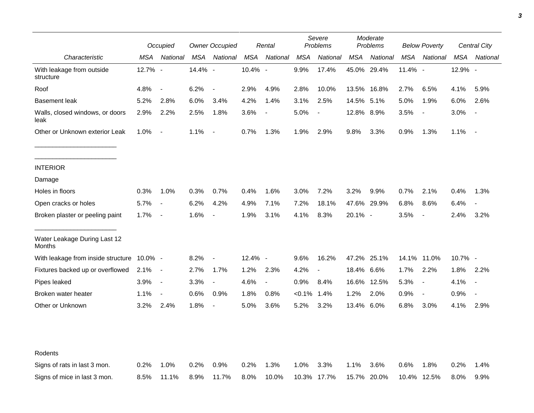|                                         |         | Occupied                 |         | <b>Owner Occupied</b>    |         | Rental                   |            | Severe<br>Problems |            | Moderate<br>Problems |            | <b>Below Poverty</b>     |         | Central City   |
|-----------------------------------------|---------|--------------------------|---------|--------------------------|---------|--------------------------|------------|--------------------|------------|----------------------|------------|--------------------------|---------|----------------|
| Characteristic                          | MSA     | National                 | MSA     | National                 | MSA     | National                 | <b>MSA</b> | National           | <b>MSA</b> | National             | <b>MSA</b> | National                 | MSA     | National       |
| With leakage from outside<br>structure  | 12.7% - |                          | 14.4% - |                          | 10.4% - |                          | 9.9%       | 17.4%              | 45.0%      | 29.4%                | 11.4% -    |                          | 12.9% - |                |
| Roof                                    | 4.8%    | $\overline{\phantom{a}}$ | 6.2%    | $\overline{\phantom{a}}$ | 2.9%    | 4.9%                     | 2.8%       | 10.0%              |            | 13.5% 16.8%          | 2.7%       | 6.5%                     | 4.1%    | 5.9%           |
| <b>Basement leak</b>                    | 5.2%    | 2.8%                     | 6.0%    | 3.4%                     | 4.2%    | 1.4%                     | 3.1%       | 2.5%               | 14.5%      | 5.1%                 | 5.0%       | 1.9%                     | 6.0%    | 2.6%           |
| Walls, closed windows, or doors<br>leak | 2.9%    | 2.2%                     | 2.5%    | 1.8%                     | 3.6%    | $\overline{\phantom{a}}$ | 5.0%       |                    | 12.8% 8.9% |                      | 3.5%       | $\overline{\phantom{a}}$ | 3.0%    |                |
| Other or Unknown exterior Leak          | $1.0\%$ | $\blacksquare$           | 1.1%    | $\overline{\phantom{a}}$ | 0.7%    | 1.3%                     | 1.9%       | 2.9%               | 9.8%       | 3.3%                 | 0.9%       | 1.3%                     | 1.1%    | $\blacksquare$ |
| <b>INTERIOR</b>                         |         |                          |         |                          |         |                          |            |                    |            |                      |            |                          |         |                |
| Damage                                  |         |                          |         |                          |         |                          |            |                    |            |                      |            |                          |         |                |
| Holes in floors                         | 0.3%    | 1.0%                     | 0.3%    | 0.7%                     | 0.4%    | 1.6%                     | 3.0%       | 7.2%               | 3.2%       | 9.9%                 | 0.7%       | 2.1%                     | 0.4%    | 1.3%           |
| Open cracks or holes                    | 5.7%    | $\blacksquare$           | 6.2%    | 4.2%                     | 4.9%    | 7.1%                     | 7.2%       | 18.1%              |            | 47.6% 29.9%          | 6.8%       | 8.6%                     | 6.4%    |                |
| Broken plaster or peeling paint         | 1.7%    | $\overline{\phantom{a}}$ | 1.6%    |                          | 1.9%    | 3.1%                     | 4.1%       | 8.3%               | 20.1% -    |                      | 3.5%       | $\overline{\phantom{a}}$ | 2.4%    | 3.2%           |
| Water Leakage During Last 12<br>Months  |         |                          |         |                          |         |                          |            |                    |            |                      |            |                          |         |                |
| With leakage from inside structure      | 10.0% - |                          | 8.2%    | $\overline{\phantom{a}}$ | 12.4% - |                          | 9.6%       | 16.2%              |            | 47.2% 25.1%          |            | 14.1% 11.0%              | 10.7% - |                |
| Fixtures backed up or overflowed        | 2.1%    | $\sim$                   | 2.7%    | 1.7%                     | 1.2%    | 2.3%                     | 4.2%       | $\blacksquare$     | 18.4%      | 6.6%                 | 1.7%       | 2.2%                     | 1.8%    | 2.2%           |
| Pipes leaked                            | 3.9%    | $\overline{\phantom{a}}$ | 3.3%    | $\overline{\phantom{a}}$ | 4.6%    | $\overline{\phantom{a}}$ | 0.9%       | 8.4%               |            | 16.6% 12.5%          | 5.3%       | $\overline{\phantom{a}}$ | 4.1%    |                |
| Broken water heater                     | 1.1%    | $\blacksquare$           | 0.6%    | 0.9%                     | 1.8%    | 0.8%                     | $< 0.1\%$  | 1.4%               | 1.2%       | 2.0%                 | 0.9%       | $\overline{\phantom{a}}$ | 0.9%    | $\blacksquare$ |
| Other or Unknown                        | 3.2%    | 2.4%                     | 1.8%    | $\blacksquare$           | 5.0%    | 3.6%                     | 5.2%       | 3.2%               | 13.4% 6.0% |                      | 6.8%       | 3.0%                     | 4.1%    | 2.9%           |
|                                         |         |                          |         |                          |         |                          |            |                    |            |                      |            |                          |         |                |
| Rodents                                 |         |                          |         |                          |         |                          |            |                    |            |                      |            |                          |         |                |
| Signs of rats in last 3 mon.            | 0.2%    | 1.0%                     | 0.2%    | 0.9%                     | 0.2%    | 1.3%                     | 1.0%       | 3.3%               | 1.1%       | 3.6%                 | 0.6%       | 1.8%                     | 0.2%    | 1.4%           |
| Signs of mice in last 3 mon.            | 8.5%    | 11.1%                    | 8.9%    | 11.7%                    | 8.0%    | 10.0%                    | 10.3%      | 17.7%              |            | 15.7% 20.0%          | 10.4%      | 12.5%                    | 8.0%    | 9.9%           |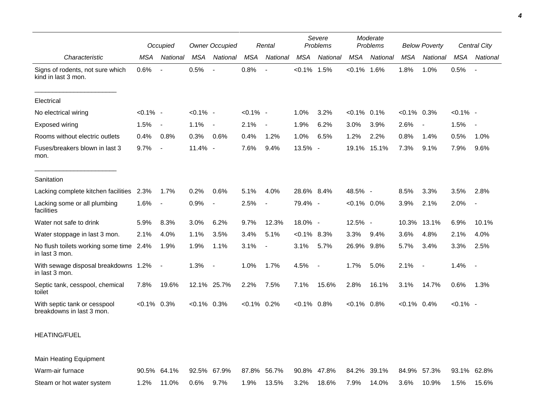|                                                           | Occupied       |                          | <b>Owner Occupied</b><br>Rental |                          |                |                          |               | Severe<br>Problems       |                | Moderate<br>Problems<br><b>Below Poverty</b> |                |                          |             | Central City             |
|-----------------------------------------------------------|----------------|--------------------------|---------------------------------|--------------------------|----------------|--------------------------|---------------|--------------------------|----------------|----------------------------------------------|----------------|--------------------------|-------------|--------------------------|
| Characteristic                                            | <b>MSA</b>     | National                 | <b>MSA</b>                      | National                 | <b>MSA</b>     | National                 | <b>MSA</b>    | National                 | <b>MSA</b>     | National                                     | <b>MSA</b>     | National                 | <b>MSA</b>  | National                 |
|                                                           |                |                          |                                 |                          |                |                          |               |                          |                |                                              |                |                          |             |                          |
| Signs of rodents, not sure which<br>kind in last 3 mon.   | 0.6%           | $\overline{\phantom{a}}$ | 0.5%                            | $\overline{\phantom{a}}$ | 0.8%           | $\overline{\phantom{a}}$ | $< 0.1\%$     | 1.5%                     | $< 0.1\%$      | 1.6%                                         | 1.8%           | 1.0%                     | 0.5%        | $\sim$                   |
| Electrical                                                |                |                          |                                 |                          |                |                          |               |                          |                |                                              |                |                          |             |                          |
| No electrical wiring                                      | $< 0.1\%$ -    |                          | $< 0.1\%$ -                     |                          | $< 0.1\%$ -    |                          | 1.0%          | 3.2%                     | $< 0.1\%$ 0.1% |                                              | $<0.1\%$ 0.3%  |                          | $< 0.1\%$ - |                          |
| Exposed wiring                                            | 1.5%           | $\blacksquare$           | 1.1%                            | $\sim$                   | 2.1%           | $\overline{\phantom{a}}$ | 1.9%          | 6.2%                     | 3.0%           | 3.9%                                         | 2.6%           | $\overline{\phantom{a}}$ | 1.5%        | $\overline{\phantom{a}}$ |
| Rooms without electric outlets                            | 0.4%           | 0.8%                     | 0.3%                            | 0.6%                     | 0.4%           | 1.2%                     | 1.0%          | 6.5%                     | 1.2%           | 2.2%                                         | 0.8%           | 1.4%                     | 0.5%        | 1.0%                     |
| Fuses/breakers blown in last 3<br>mon.                    | 9.7%           | $\overline{\phantom{a}}$ | 11.4% -                         |                          | 7.6%           | 9.4%                     | 13.5% -       |                          | 19.1%          | 15.1%                                        | 7.3%           | 9.1%                     | 7.9%        | 9.6%                     |
| Sanitation                                                |                |                          |                                 |                          |                |                          |               |                          |                |                                              |                |                          |             |                          |
| Lacking complete kitchen facilities                       | 2.3%           | 1.7%                     | 0.2%                            | 0.6%                     | 5.1%           | 4.0%                     | 28.6% 8.4%    |                          | 48.5% -        |                                              | 8.5%           | 3.3%                     | 3.5%        | 2.8%                     |
| Lacking some or all plumbing<br>facilities                | 1.6%           | $\blacksquare$           | 0.9%                            |                          | 2.5%           | $\overline{\phantom{a}}$ | 79.4% -       |                          | $< 0.1\%$ 0.0% |                                              | 3.9%           | 2.1%                     | 2.0%        | $\overline{\phantom{a}}$ |
| Water not safe to drink                                   | 5.9%           | 8.3%                     | 3.0%                            | 6.2%                     | 9.7%           | 12.3%                    | 18.0% -       |                          | 12.5% -        |                                              | 10.3%          | 13.1%                    | 6.9%        | 10.1%                    |
| Water stoppage in last 3 mon.                             | 2.1%           | 4.0%                     | 1.1%                            | 3.5%                     | 3.4%           | 5.1%                     | $<0.1\%$ 8.3% |                          | 3.3%           | 9.4%                                         | 3.6%           | 4.8%                     | 2.1%        | 4.0%                     |
| No flush toilets working some time 2.4%<br>in last 3 mon. |                | 1.9%                     | 1.9%                            | 1.1%                     | 3.1%           | $\overline{\phantom{a}}$ | 3.1%          | 5.7%                     | 26.9%          | 9.8%                                         | 5.7%           | 3.4%                     | 3.3%        | 2.5%                     |
| With sewage disposal breakdowns 1.2%<br>in last 3 mon.    |                | $\blacksquare$           | 1.3%                            | $\sim$                   | 1.0%           | 1.7%                     | 4.5%          | $\overline{\phantom{a}}$ | 1.7%           | 5.0%                                         | 2.1%           | $\overline{\phantom{a}}$ | 1.4%        | $\sim$                   |
| Septic tank, cesspool, chemical<br>toilet                 | 7.8%           | 19.6%                    |                                 | 12.1% 25.7%              | 2.2%           | 7.5%                     | 7.1%          | 15.6%                    | 2.8%           | 16.1%                                        | 3.1%           | 14.7%                    | 0.6%        | 1.3%                     |
| With septic tank or cesspool<br>breakdowns in last 3 mon. | $< 0.1\%$ 0.3% |                          | $< 0.1\%$ 0.3%                  |                          | $< 0.1\%$ 0.2% |                          | $< 0.1\%$     | 0.8%                     | $< 0.1\%$ 0.8% |                                              | $< 0.1\%$ 0.4% |                          | $< 0.1\%$ - |                          |

## HEATING/FUEL

Main Heating Equipment

| Warm-air furnace          |                      | 90.5% 64.1% 92.5% 67.9% 87.8% 56.7% 90.8% 47.8% 84.2% 39.1% 84.9% 57.3% 93.1% 62.8% |  |                                                                 |  |  |  |
|---------------------------|----------------------|-------------------------------------------------------------------------------------|--|-----------------------------------------------------------------|--|--|--|
| Steam or hot water system | 1.2% 11.0% 0.6% 9.7% |                                                                                     |  | 1.9%  13.5%  3.2%  18.6%  7.9%  14.0%  3.6%  10.9%  1.5%  15.6% |  |  |  |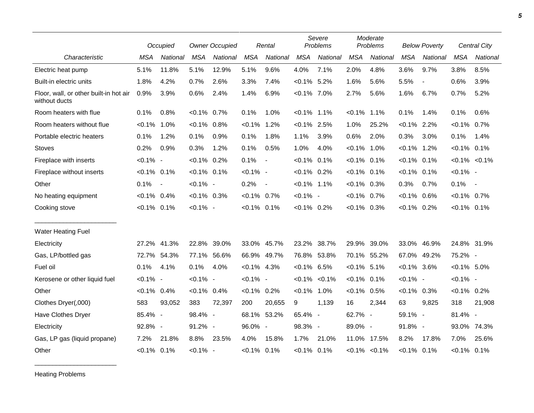|                                                         |                | Occupied                 |                | <b>Owner Occupied</b> |                | Rental                   |                   | Severe<br>Problems |                | Moderate<br>Problems |                | <b>Below Poverty</b>     |                | Central City      |
|---------------------------------------------------------|----------------|--------------------------|----------------|-----------------------|----------------|--------------------------|-------------------|--------------------|----------------|----------------------|----------------|--------------------------|----------------|-------------------|
| Characteristic                                          | <b>MSA</b>     | National                 | <b>MSA</b>     | National              | <b>MSA</b>     | National                 | <b>MSA</b>        | National           | <b>MSA</b>     | National             | <b>MSA</b>     | National                 | <b>MSA</b>     | <b>National</b>   |
| Electric heat pump                                      | 5.1%           | 11.8%                    | 5.1%           | 12.9%                 | 5.1%           | 9.6%                     | 4.0%              | 7.1%               | 2.0%           | 4.8%                 | 3.6%           | 9.7%                     | 3.8%           | 8.5%              |
| Built-in electric units                                 | 1.8%           | 4.2%                     | 0.7%           | 2.6%                  | 3.3%           | 7.4%                     | $< 0.1\%$ 5.2%    |                    | 1.6%           | 5.6%                 | 5.5%           | $\overline{\phantom{a}}$ | 0.6%           | 3.9%              |
| Floor, wall, or other built-in hot air<br>without ducts | 0.9%           | 3.9%                     | 0.6%           | 2.4%                  | 1.4%           | 6.9%                     | $< 0.1\%$ 7.0%    |                    | 2.7%           | 5.6%                 | 1.6%           | 6.7%                     | 0.7%           | 5.2%              |
| Room heaters with flue                                  | 0.1%           | 0.8%                     | $< 0.1\%$      | 0.7%                  | 0.1%           | 1.0%                     | $< 0.1\%$ 1.1%    |                    | $< 0.1\%$      | 1.1%                 | 0.1%           | 1.4%                     | 0.1%           | 0.6%              |
| Room heaters without flue                               | $< 0.1\%$ 1.0% |                          | $< 0.1\%$ 0.8% |                       | $< 0.1\%$      | 1.2%                     | $< 0.1\%$         | 2.5%               | 1.0%           | 25.2%                | $< 0.1\%$ 2.2% |                          | $< 0.1\%$ 0.7% |                   |
| Portable electric heaters                               | 0.1%           | 1.2%                     | 0.1%           | 0.9%                  | 0.1%           | 1.8%                     | 1.1%              | 3.9%               | 0.6%           | 2.0%                 | 0.3%           | 3.0%                     | 0.1%           | 1.4%              |
| <b>Stoves</b>                                           | 0.2%           | 0.9%                     | 0.3%           | 1.2%                  | 0.1%           | 0.5%                     | 1.0%              | 4.0%               | $< 0.1\%$ 1.0% |                      | $< 0.1\%$      | 1.2%                     | $< 0.1\%$ 0.1% |                   |
| Fireplace with inserts                                  | $< 0.1\%$ -    |                          | $< 0.1\%$      | 0.2%                  | 0.1%           | $\blacksquare$           | $< 0.1\%$ 0.1%    |                    | $< 0.1\%$      | 0.1%                 | $< 0.1\%$ 0.1% |                          |                | $< 0.1\% < 0.1\%$ |
| Fireplace without inserts                               | $< 0.1\%$ 0.1% |                          | $< 0.1\%$ 0.1% |                       | $< 0.1\%$ -    |                          | $< 0.1\%$ 0.2%    |                    | $< 0.1\%$ 0.1% |                      | $< 0.1\%$ 0.1% |                          | $< 0.1\%$ -    |                   |
| Other                                                   | 0.1%           | $\overline{\phantom{a}}$ | $< 0.1\%$ -    |                       | 0.2%           | $\overline{\phantom{a}}$ | $< 0.1\%$ 1.1%    |                    | $< 0.1\%$ 0.3% |                      | 0.3%           | 0.7%                     | 0.1%           | $\sim$            |
| No heating equipment                                    | $< 0.1\%$ 0.4% |                          | $< 0.1\%$ 0.3% |                       | $< 0.1\%$ 0.7% |                          | $< 0.1\%$ -       |                    | $< 0.1\%$ 0.7% |                      | $< 0.1\%$ 0.6% |                          | $< 0.1\%$ 0.7% |                   |
| Cooking stove                                           | $< 0.1\%$ 0.1% |                          | $< 0.1\%$ -    |                       | $< 0.1\%$ 0.1% |                          | $< 0.1\%$ 0.2%    |                    | $<0.1\%$ 0.3%  |                      | $< 0.1\%$ 0.2% |                          | $< 0.1\%$ 0.1% |                   |
| <b>Water Heating Fuel</b>                               |                |                          |                |                       |                |                          |                   |                    |                |                      |                |                          |                |                   |
| Electricity                                             | 27.2%          | 41.3%                    | 22.8%          | 39.0%                 |                | 33.0% 45.7%              | 23.2%             | 38.7%              | 29.9%          | 39.0%                | 33.0%          | 46.9%                    | 24.8% 31.9%    |                   |
| Gas, LP/bottled gas                                     | 72.7%          | 54.3%                    | 77.1% 56.6%    |                       |                | 66.9% 49.7%              | 76.8%             | 53.8%              | 70.1% 55.2%    |                      | 67.0%          | 49.2%                    | 75.2% -        |                   |
| Fuel oil                                                | 0.1%           | 4.1%                     | 0.1%           | 4.0%                  | $< 0.1\%$ 4.3% |                          | $< 0.1\%$ 6.5%    |                    | $< 0.1\%$ 5.1% |                      | $< 0.1\%$ 3.6% |                          | $< 0.1\%$ 5.0% |                   |
| Kerosene or other liquid fuel                           | $< 0.1\%$ -    |                          | $< 0.1\%$ -    |                       | $< 0.1\%$ -    |                          | $< 0.1\% < 0.1\%$ |                    | $< 0.1\%$ 0.1% |                      | $< 0.1\%$ -    |                          | $< 0.1\%$ -    |                   |
| Other                                                   | $< 0.1\%$      | 0.4%                     | $< 0.1\%$ 0.4% |                       | $< 0.1\%$ 0.2% |                          | $< 0.1\%$         | 1.0%               | $< 0.1\%$      | 0.5%                 | $< 0.1\%$ 0.3% |                          | $< 0.1\%$ 0.2% |                   |
| Clothes Dryer(,000)                                     | 583            | 93,052                   | 383            | 72,397                | 200            | 20,655                   | 9                 | 1,139              | 16             | 2,344                | 63             | 9,825                    | 318            | 21,908            |
| Have Clothes Dryer                                      | 85.4% -        |                          | 98.4% -        |                       |                | 68.1% 53.2%              | 65.4% -           |                    | 62.7% -        |                      | 59.1% -        |                          | 81.4% -        |                   |
| Electricity                                             | 92.8% -        |                          | $91.2\%$ -     |                       | 96.0% -        |                          | 98.3% -           |                    | 89.0% -        |                      | 91.8% -        |                          | 93.0%          | 74.3%             |
| Gas, LP gas (liquid propane)                            | 7.2%           | 21.8%                    | 8.8%           | 23.5%                 | 4.0%           | 15.8%                    | 1.7%              | 21.0%              |                | 11.0% 17.5%          | 8.2%           | 17.8%                    | 7.0%           | 25.6%             |
| Other                                                   | $< 0.1\%$ 0.1% |                          | $< 0.1\%$ -    |                       | $< 0.1\%$ 0.1% |                          | $< 0.1\%$ 0.1%    |                    |                | $< 0.1\%$ $< 0.1\%$  | $< 0.1\%$ 0.1% |                          | $< 0.1\%$ 0.1% |                   |

Heating Problems

\_\_\_\_\_\_\_\_\_\_\_\_\_\_\_\_\_\_\_\_\_\_\_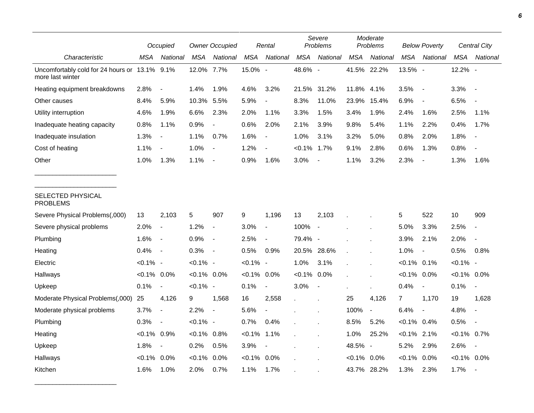|                                                                   |                | Occupied                 |                | <b>Owner Occupied</b>    |                | Rental                   |                | Severe<br>Problems       |                | Moderate<br>Problems |                | <b>Below Poverty</b>     |                | Central City             |
|-------------------------------------------------------------------|----------------|--------------------------|----------------|--------------------------|----------------|--------------------------|----------------|--------------------------|----------------|----------------------|----------------|--------------------------|----------------|--------------------------|
| Characteristic                                                    | MSA            | National                 | <b>MSA</b>     | National                 | <b>MSA</b>     | National                 | <b>MSA</b>     | National                 | <b>MSA</b>     | National             | <b>MSA</b>     | National                 | <b>MSA</b>     | National                 |
| Uncomfortably cold for 24 hours or 13.1% 9.1%<br>more last winter |                |                          | 12.0%          | 7.7%                     | 15.0% -        |                          | 48.6% -        |                          |                | 41.5% 22.2%          | 13.5% -        |                          | 12.2% -        |                          |
| Heating equipment breakdowns                                      | 2.8%           |                          | 1.4%           | 1.9%                     | 4.6%           | 3.2%                     | 21.5% 31.2%    |                          | 11.8%          | 4.1%                 | 3.5%           | $\overline{\phantom{a}}$ | 3.3%           | $\sim$                   |
| Other causes                                                      | 8.4%           | 5.9%                     | 10.3%          | 5.5%                     | 5.9%           | $\overline{a}$           | 8.3%           | 11.0%                    | 23.9%          | 15.4%                | 6.9%           | $\overline{\phantom{a}}$ | 6.5%           |                          |
| Utility interruption                                              | 4.6%           | 1.9%                     | 6.6%           | 2.3%                     | 2.0%           | 1.1%                     | 3.3%           | 1.5%                     | 3.4%           | 1.9%                 | 2.4%           | 1.6%                     | 2.5%           | 1.1%                     |
| Inadequate heating capacity                                       | 0.8%           | 1.1%                     | 0.9%           | $\overline{\phantom{a}}$ | 0.6%           | 2.0%                     | 2.1%           | 3.9%                     | 9.8%           | 5.4%                 | 1.1%           | 2.2%                     | 0.4%           | 1.7%                     |
| Inadequate insulation                                             | 1.3%           | $\overline{\phantom{a}}$ | 1.1%           | 0.7%                     | 1.6%           | $\overline{\phantom{a}}$ | 1.0%           | 3.1%                     | 3.2%           | 5.0%                 | 0.8%           | 2.0%                     | 1.8%           | $\blacksquare$           |
| Cost of heating                                                   | 1.1%           |                          | 1.0%           | $\overline{\phantom{a}}$ | 1.2%           |                          | $< 0.1\%$ 1.7% |                          | 9.1%           | 2.8%                 | 0.6%           | 1.3%                     | 0.8%           |                          |
| Other                                                             | 1.0%           | 1.3%                     | 1.1%           |                          | 0.9%           | 1.6%                     | 3.0%           |                          | 1.1%           | 3.2%                 | 2.3%           | $\overline{\phantom{a}}$ | 1.3%           | 1.6%                     |
| SELECTED PHYSICAL<br><b>PROBLEMS</b>                              |                |                          |                |                          |                |                          |                |                          |                |                      |                |                          |                |                          |
| Severe Physical Problems(,000)                                    | 13             | 2,103                    | 5              | 907                      | 9              | 1,196                    | 13             | 2,103                    |                |                      | 5              | 522                      | 10             | 909                      |
| Severe physical problems                                          | 2.0%           | $\blacksquare$           | 1.2%           | $\blacksquare$           | 3.0%           | $\blacksquare$           | 100%           | $\overline{\phantom{a}}$ |                |                      | 5.0%           | 3.3%                     | 2.5%           | $\blacksquare$           |
| Plumbing                                                          | 1.6%           | $\overline{\phantom{a}}$ | 0.9%           | $\overline{\phantom{a}}$ | 2.5%           | $\overline{a}$           | 79.4% -        |                          |                |                      | 3.9%           | 2.1%                     | 2.0%           | $\blacksquare$           |
| Heating                                                           | 0.4%           | $\overline{\phantom{a}}$ | 0.3%           | $\overline{\phantom{a}}$ | 0.5%           | 0.9%                     | 20.5% 28.6%    |                          |                |                      | 1.0%           | $\overline{\phantom{a}}$ | 0.5%           | 0.8%                     |
| Electric                                                          | $< 0.1\%$ -    |                          | $< 0.1\%$ -    |                          | $< 0.1\%$ -    |                          | 1.0%           | 3.1%                     |                |                      | $< 0.1\%$ 0.1% |                          | $< 0.1\%$ -    |                          |
| Hallways                                                          | $< 0.1\%$ 0.0% |                          | $< 0.1\%$ 0.0% |                          | $< 0.1\%$ 0.0% |                          | $< 0.1\%$ 0.0% |                          |                |                      | $< 0.1\%$ 0.0% |                          | $< 0.1\%$ 0.0% |                          |
| Upkeep                                                            | 0.1%           | $\blacksquare$           | $< 0.1\%$ -    |                          | 0.1%           | $\blacksquare$           | 3.0%           | $\blacksquare$           |                | $\mathbf{r}$         | 0.4%           | $\blacksquare$           | 0.1%           | $\blacksquare$           |
| Moderate Physical Problems(,000)                                  | 25             | 4,126                    | 9              | 1,568                    | 16             | 2,558                    |                |                          | 25             | 4,126                | $\overline{7}$ | 1,170                    | 19             | 1,628                    |
| Moderate physical problems                                        | 3.7%           | $\overline{a}$           | 2.2%           | $\overline{a}$           | 5.6%           | $\overline{\phantom{a}}$ |                |                          | 100%           | $\blacksquare$       | 6.4%           | $\overline{\phantom{a}}$ | 4.8%           | $\blacksquare$           |
| Plumbing                                                          | 0.3%           | $\overline{\phantom{a}}$ | $< 0.1\%$ -    |                          | 0.7%           | 0.4%                     |                |                          | 8.5%           | 5.2%                 | $< 0.1\%$ 0.4% |                          | 0.5%           |                          |
| Heating                                                           | $< 0.1\%$ 0.9% |                          | $< 0.1\%$ 0.8% |                          | $< 0.1\%$      | 1.1%                     |                |                          | 1.0%           | 25.2%                | $< 0.1\%$ 2.1% |                          | $< 0.1\%$ 0.7% |                          |
| Upkeep                                                            | 1.8%           | $\overline{\phantom{a}}$ | 0.2%           | 0.5%                     | 3.9%           | $\overline{\phantom{a}}$ |                |                          | 48.5% -        |                      | 5.2%           | 2.9%                     | 2.6%           | $\overline{\phantom{a}}$ |
| Hallways                                                          | $< 0.1\%$ 0.0% |                          | $< 0.1\%$      | 0.0%                     | $< 0.1\%$      | 0.0%                     |                |                          | $< 0.1\%$ 0.0% |                      | $< 0.1\%$ 0.0% |                          | $< 0.1\%$ 0.0% |                          |
| Kitchen                                                           | 1.6%           | 1.0%                     | 2.0%           | 0.7%                     | 1.1%           | 1.7%                     |                |                          |                | 43.7% 28.2%          | 1.3%           | 2.3%                     | 1.7%           |                          |

\_\_\_\_\_\_\_\_\_\_\_\_\_\_\_\_\_\_\_\_\_\_\_